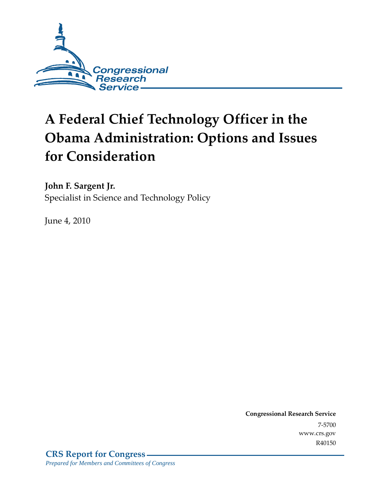

# **A Federal Chief Technology Officer in the Obama Administration: Options and Issues for Consideration**

**John F. Sargent Jr.**  Specialist in Science and Technology Policy

June 4, 2010

**Congressional Research Service** 7-5700 www.crs.gov R40150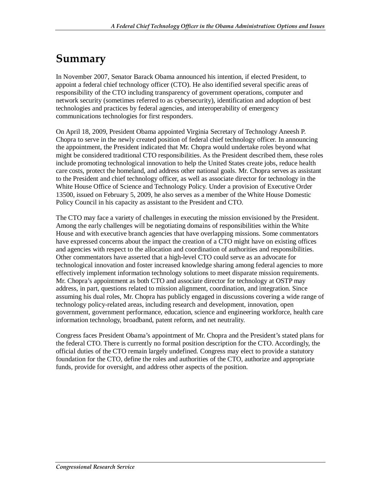### **Summary**

In November 2007, Senator Barack Obama announced his intention, if elected President, to appoint a federal chief technology officer (CTO). He also identified several specific areas of responsibility of the CTO including transparency of government operations, computer and network security (sometimes referred to as cybersecurity), identification and adoption of best technologies and practices by federal agencies, and interoperability of emergency communications technologies for first responders.

On April 18, 2009, President Obama appointed Virginia Secretary of Technology Aneesh P. Chopra to serve in the newly created position of federal chief technology officer. In announcing the appointment, the President indicated that Mr. Chopra would undertake roles beyond what might be considered traditional CTO responsibilities. As the President described them, these roles include promoting technological innovation to help the United States create jobs, reduce health care costs, protect the homeland, and address other national goals. Mr. Chopra serves as assistant to the President and chief technology officer, as well as associate director for technology in the White House Office of Science and Technology Policy. Under a provision of Executive Order 13500, issued on February 5, 2009, he also serves as a member of the White House Domestic Policy Council in his capacity as assistant to the President and CTO.

The CTO may face a variety of challenges in executing the mission envisioned by the President. Among the early challenges will be negotiating domains of responsibilities within the White House and with executive branch agencies that have overlapping missions. Some commentators have expressed concerns about the impact the creation of a CTO might have on existing offices and agencies with respect to the allocation and coordination of authorities and responsibilities. Other commentators have asserted that a high-level CTO could serve as an advocate for technological innovation and foster increased knowledge sharing among federal agencies to more effectively implement information technology solutions to meet disparate mission requirements. Mr. Chopra's appointment as both CTO and associate director for technology at OSTP may address, in part, questions related to mission alignment, coordination, and integration. Since assuming his dual roles, Mr. Chopra has publicly engaged in discussions covering a wide range of technology policy-related areas, including research and development, innovation, open government, government performance, education, science and engineering workforce, health care information technology, broadband, patent reform, and net neutrality.

Congress faces President Obama's appointment of Mr. Chopra and the President's stated plans for the federal CTO. There is currently no formal position description for the CTO. Accordingly, the official duties of the CTO remain largely undefined. Congress may elect to provide a statutory foundation for the CTO, define the roles and authorities of the CTO, authorize and appropriate funds, provide for oversight, and address other aspects of the position.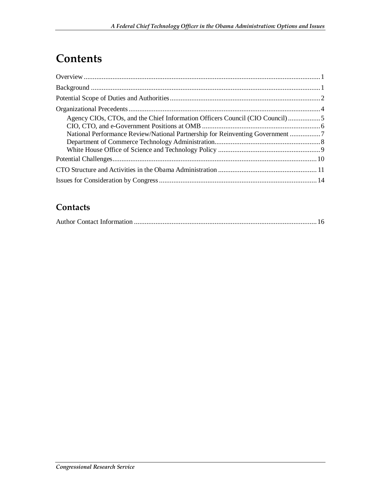# **Contents**

| Agency CIOs, CTOs, and the Chief Information Officers Council (CIO Council) 5 |  |
|-------------------------------------------------------------------------------|--|
|                                                                               |  |
|                                                                               |  |
|                                                                               |  |
|                                                                               |  |
|                                                                               |  |
|                                                                               |  |
|                                                                               |  |

#### **Contacts**

|--|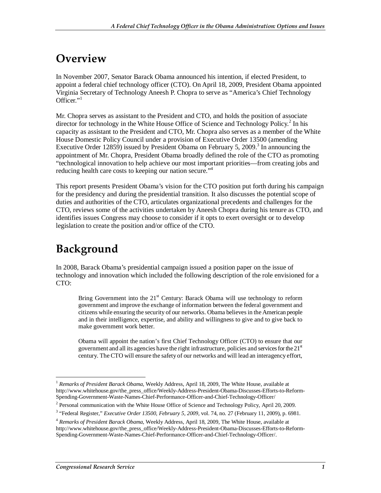### **Overview**

In November 2007, Senator Barack Obama announced his intention, if elected President, to appoint a federal chief technology officer (CTO). On April 18, 2009, President Obama appointed Virginia Secretary of Technology Aneesh P. Chopra to serve as "America's Chief Technology Officer."<sup>1</sup>

Mr. Chopra serves as assistant to the President and CTO, and holds the position of associate director for technology in the White House Office of Science and Technology Policy.<sup>2</sup> In his capacity as assistant to the President and CTO, Mr. Chopra also serves as a member of the White House Domestic Policy Council under a provision of Executive Order 13500 (amending Executive Order 12859) issued by President Obama on February 5, 2009.<sup>3</sup> In announcing the appointment of Mr. Chopra, President Obama broadly defined the role of the CTO as promoting "technological innovation to help achieve our most important priorities—from creating jobs and reducing health care costs to keeping our nation secure."<sup>4</sup>

This report presents President Obama's vision for the CTO position put forth during his campaign for the presidency and during the presidential transition. It also discusses the potential scope of duties and authorities of the CTO, articulates organizational precedents and challenges for the CTO, reviews some of the activities undertaken by Aneesh Chopra during his tenure as CTO, and identifies issues Congress may choose to consider if it opts to exert oversight or to develop legislation to create the position and/or office of the CTO.

# **Background**

In 2008, Barack Obama's presidential campaign issued a position paper on the issue of technology and innovation which included the following description of the role envisioned for a CTO:

Bring Government into the 21<sup>st</sup> Century: Barack Obama will use technology to reform government and improve the exchange of information between the federal government and citizens while ensuring the security of our networks. Obama believes in the American people and in their intelligence, expertise, and ability and willingness to give and to give back to make government work better.

Obama will appoint the nation's first Chief Technology Officer (CTO) to ensure that our government and all its agencies have the right infrastructure, policies and services for the  $21<sup>st</sup>$ century. The CTO will ensure the safety of our networks and will lead an interagency effort,

<sup>-</sup><sup>1</sup> *Remarks of President Barack Obama*, Weekly Address, April 18, 2009, The White House, available at http://www.whitehouse.gov/the\_press\_office/Weekly-Address-President-Obama-Discusses-Efforts-to-Reform-Spending-Government-Waste-Names-Chief-Performance-Officer-and-Chief-Technology-Officer/

 $2$  Personal communication with the White House Office of Science and Technology Policy, April 20, 2009.

<sup>3</sup> "Federal Register," *Executive Order 13500, February 5, 2009*, vol. 74, no. 27 (February 11, 2009), p. 6981.

<sup>4</sup> *Remarks of President Barack Obama*, Weekly Address, April 18, 2009, The White House, available at http://www.whitehouse.gov/the\_press\_office/Weekly-Address-President-Obama-Discusses-Efforts-to-Reform-Spending-Government-Waste-Names-Chief-Performance-Officer-and-Chief-Technology-Officer/.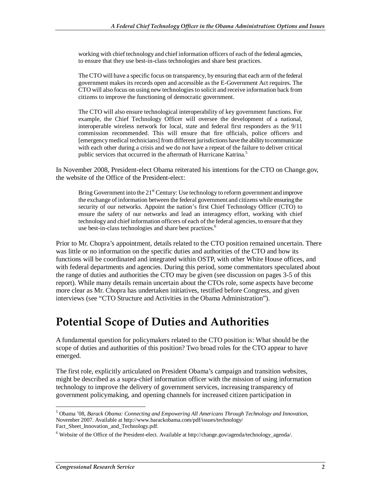working with chief technology and chief information officers of each of the federal agencies, to ensure that they use best-in-class technologies and share best practices.

The CTO will have a specific focus on transparency, by ensuring that each arm of the federal government makes its records open and accessible as the E-Government Act requires. The CTO will also focus on using new technologies to solicit and receive information back from citizens to improve the functioning of democratic government.

The CTO will also ensure technological interoperability of key government functions. For example, the Chief Technology Officer will oversee the development of a national, interoperable wireless network for local, state and federal first responders as the 9/11 commission recommended. This will ensure that fire officials, police officers and [emergency medical technicians] from different jurisdictions have the ability to communicate with each other during a crisis and we do not have a repeat of the failure to deliver critical public services that occurred in the aftermath of Hurricane Katrina.<sup>5</sup>

In November 2008, President-elect Obama reiterated his intentions for the CTO on Change.gov, the website of the Office of the President-elect:

Bring Government into the  $21<sup>st</sup>$  Century: Use technology to reform government and improve the exchange of information between the federal government and citizens while ensuring the security of our networks. Appoint the nation's first Chief Technology Officer (CTO) to ensure the safety of our networks and lead an interagency effort, working with chief technology and chief information officers of each of the federal agencies, to ensure that they use best-in-class technologies and share best practices.<sup>6</sup>

Prior to Mr. Chopra's appointment, details related to the CTO position remained uncertain. There was little or no information on the specific duties and authorities of the CTO and how its functions will be coordinated and integrated within OSTP, with other White House offices, and with federal departments and agencies. During this period, some commentators speculated about the range of duties and authorities the CTO may be given (see discussion on pages 3-5 of this report). While many details remain uncertain about the CTOs role, some aspects have become more clear as Mr. Chopra has undertaken initiatives, testified before Congress, and given interviews (see "CTO Structure and Activities in the Obama Administration").

### **Potential Scope of Duties and Authorities**

A fundamental question for policymakers related to the CTO position is: What should be the scope of duties and authorities of this position? Two broad roles for the CTO appear to have emerged.

The first role, explicitly articulated on President Obama's campaign and transition websites, might be described as a supra-chief information officer with the mission of using information technology to improve the delivery of government services, increasing transparency of government policymaking, and opening channels for increased citizen participation in

-

<sup>5</sup> Obama '08, *Barack Obama: Connecting and Empowering All Americans Through Technology and Innovation*, November 2007. Available at http://www.barackobama.com/pdf/issues/technology/ Fact\_Sheet\_Innovation\_and\_Technology.pdf.

<sup>&</sup>lt;sup>6</sup> Website of the Office of the President-elect. Available at http://change.gov/agenda/technology\_agenda/.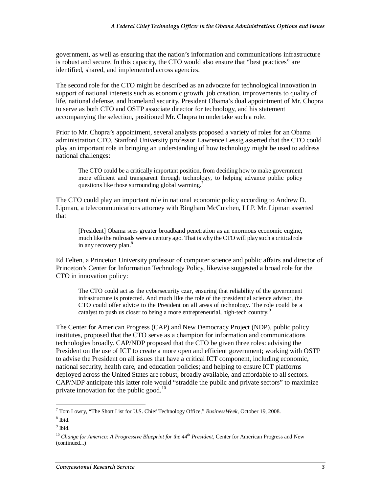government, as well as ensuring that the nation's information and communications infrastructure is robust and secure. In this capacity, the CTO would also ensure that "best practices" are identified, shared, and implemented across agencies.

The second role for the CTO might be described as an advocate for technological innovation in support of national interests such as economic growth, job creation, improvements to quality of life, national defense, and homeland security. President Obama's dual appointment of Mr. Chopra to serve as both CTO and OSTP associate director for technology, and his statement accompanying the selection, positioned Mr. Chopra to undertake such a role.

Prior to Mr. Chopra's appointment, several analysts proposed a variety of roles for an Obama administration CTO. Stanford University professor Lawrence Lessig asserted that the CTO could play an important role in bringing an understanding of how technology might be used to address national challenges:

The CTO could be a critically important position, from deciding how to make government more efficient and transparent through technology, to helping advance public policy questions like those surrounding global warming.<sup>7</sup>

The CTO could play an important role in national economic policy according to Andrew D. Lipman, a telecommunications attorney with Bingham McCutchen, LLP. Mr. Lipman asserted that

[President] Obama sees greater broadband penetration as an enormous economic engine, much like the railroads were a century ago. That is why the CTO will play such a critical role in any recovery plan.<sup>8</sup>

Ed Felten, a Princeton University professor of computer science and public affairs and director of Princeton's Center for Information Technology Policy, likewise suggested a broad role for the CTO in innovation policy:

The CTO could act as the cybersecurity czar, ensuring that reliability of the government infrastructure is protected. And much like the role of the presidential science advisor, the CTO could offer advice to the President on all areas of technology. The role could be a catalyst to push us closer to being a more entrepreneurial, high-tech country.<sup>9</sup>

The Center for American Progress (CAP) and New Democracy Project (NDP), public policy institutes, proposed that the CTO serve as a champion for information and communications technologies broadly. CAP/NDP proposed that the CTO be given three roles: advising the President on the use of ICT to create a more open and efficient government; working with OSTP to advise the President on all issues that have a critical ICT component, including economic, national security, health care, and education policies; and helping to ensure ICT platforms deployed across the United States are robust, broadly available, and affordable to all sectors. CAP/NDP anticipate this latter role would "straddle the public and private sectors" to maximize private innovation for the public good.<sup>10</sup>

 7 Tom Lowry, "The Short List for U.S. Chief Technology Office," *BusinessWeek*, October 19, 2008.

<sup>8</sup> Ibid.

 $<sup>9</sup>$  Ibid.</sup>

<sup>&</sup>lt;sup>10</sup> Change for America: A Progressive Blueprint for the 44<sup>th</sup> President, Center for American Progress and New (continued...)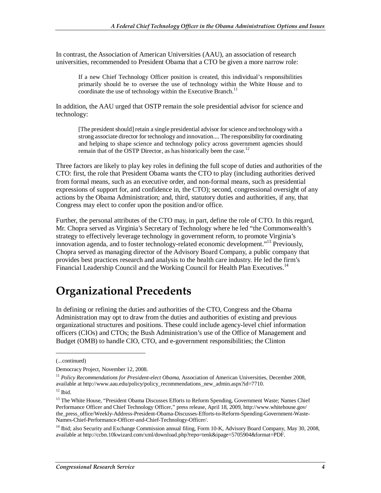In contrast, the Association of American Universities (AAU), an association of research universities, recommended to President Obama that a CTO be given a more narrow role:

If a new Chief Technology Officer position is created, this individual's responsibilities primarily should be to oversee the use of technology within the White House and to coordinate the use of technology within the Executive Branch.<sup>11</sup>

In addition, the AAU urged that OSTP remain the sole presidential advisor for science and technology:

[The president should] retain a single presidential advisor for science and technology with a strong associate director for technology and innovation.... The responsibility for coordinating and helping to shape science and technology policy across government agencies should remain that of the OSTP Director, as has historically been the case.<sup>12</sup>

Three factors are likely to play key roles in defining the full scope of duties and authorities of the CTO: first, the role that President Obama wants the CTO to play (including authorities derived from formal means, such as an executive order, and non-formal means, such as presidential expressions of support for, and confidence in, the CTO); second, congressional oversight of any actions by the Obama Administration; and, third, statutory duties and authorities, if any, that Congress may elect to confer upon the position and/or office.

Further, the personal attributes of the CTO may, in part, define the role of CTO. In this regard, Mr. Chopra served as Virginia's Secretary of Technology where he led "the Commonwealth's strategy to effectively leverage technology in government reform, to promote Virginia's innovation agenda, and to foster technology-related economic development."<sup>13</sup> Previously, Chopra served as managing director of the Advisory Board Company, a public company that provides best practices research and analysis to the health care industry. He led the firm's Financial Leadership Council and the Working Council for Health Plan Executives.<sup>14</sup>

### **Organizational Precedents**

In defining or refining the duties and authorities of the CTO, Congress and the Obama Administration may opt to draw from the duties and authorities of existing and previous organizational structures and positions. These could include agency-level chief information officers (CIOs) and CTOs; the Bush Administration's use of the Office of Management and Budget (OMB) to handle CIO, CTO, and e-government responsibilities; the Clinton

1

<sup>14</sup> Ibid; also Security and Exchange Commission annual filing, Form 10-K, Advisory Board Company, May 30, 2008, available at http://ccbn.10kwizard.com/xml/download.php?repo=tenk&ipage=5705904&format=PDF.

<sup>(...</sup>continued)

Democracy Project, November 12, 2008.

<sup>&</sup>lt;sup>11</sup> Policy Recommendations for President-elect Obama, Association of American Universities, December 2008, available at http://www.aau.edu/policy/policy\_recommendations\_new\_admin.aspx?id=7710.  $12$  Ibid.

<sup>&</sup>lt;sup>13</sup> The White House, "President Obama Discusses Efforts to Reform Spending, Government Waste; Names Chief Performance Officer and Chief Technology Officer," press release, April 18, 2009, http://www.whitehouse.gov/ the\_press\_office/Weekly-Address-President-Obama-Discusses-Efforts-to-Reform-Spending-Government-Waste-Names-Chief-Performance-Officer-and-Chief-Technology-Officer/.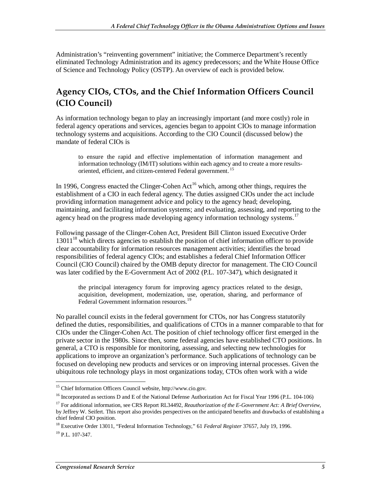Administration's "reinventing government" initiative; the Commerce Department's recently eliminated Technology Administration and its agency predecessors; and the White House Office of Science and Technology Policy (OSTP). An overview of each is provided below.

#### **Agency CIOs, CTOs, and the Chief Information Officers Council (CIO Council)**

As information technology began to play an increasingly important (and more costly) role in federal agency operations and services, agencies began to appoint CIOs to manage information technology systems and acquisitions. According to the CIO Council (discussed below) the mandate of federal CIOs is

to ensure the rapid and effective implementation of information management and information technology (IM/IT) solutions within each agency and to create a more resultsoriented, efficient, and citizen-centered Federal government.<sup>1</sup>

In 1996, Congress enacted the Clinger-Cohen  $Act^{16}$  which, among other things, requires the establishment of a CIO in each federal agency. The duties assigned CIOs under the act include providing information management advice and policy to the agency head; developing, maintaining, and facilitating information systems; and evaluating, assessing, and reporting to the agency head on the progress made developing agency information technology systems.<sup>17</sup>

Following passage of the Clinger-Cohen Act, President Bill Clinton issued Executive Order  $13011^{18}$  which directs agencies to establish the position of chief information officer to provide clear accountability for information resources management activities; identifies the broad responsibilities of federal agency CIOs; and establishes a federal Chief Information Officer Council (CIO Council) chaired by the OMB deputy director for management. The CIO Council was later codified by the E-Government Act of 2002 (P.L. 107-347), which designated it

the principal interagency forum for improving agency practices related to the design, acquisition, development, modernization, use, operation, sharing, and performance of Federal Government information resources.<sup>19</sup>

No parallel council exists in the federal government for CTOs, nor has Congress statutorily defined the duties, responsibilities, and qualifications of CTOs in a manner comparable to that for CIOs under the Clinger-Cohen Act. The position of chief technology officer first emerged in the private sector in the 1980s. Since then, some federal agencies have established CTO positions. In general, a CTO is responsible for monitoring, assessing, and selecting new technologies for applications to improve an organization's performance. Such applications of technology can be focused on developing new products and services or on improving internal processes. Given the ubiquitous role technology plays in most organizations today, CTOs often work with a wide

 $\frac{1}{1}$ <sup>15</sup> Chief Information Officers Council website, http://www.cio.gov.

<sup>&</sup>lt;sup>16</sup> Incorporated as sections D and E of the National Defense Authorization Act for Fiscal Year 1996 (P.L. 104-106)

<sup>&</sup>lt;sup>17</sup> For additional information, see CRS Report RL34492, *Reauthorization of the E-Government Act: A Brief Overview*, by Jeffrey W. Seifert. This report also provides perspectives on the anticipated benefits and drawbacks of establishing a chief federal CIO position.

<sup>18</sup> Executive Order 13011, "Federal Information Technology," 61 *Federal Register* 37657, July 19, 1996.  $^{19}$  P.L. 107-347.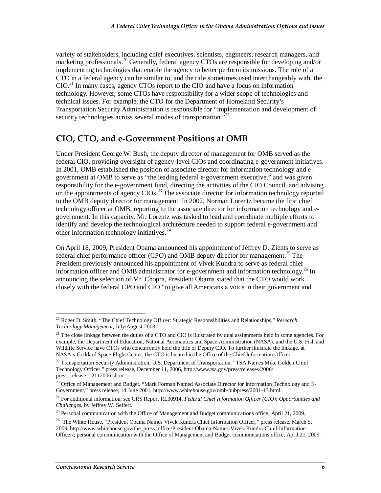variety of stakeholders, including chief executives, scientists, engineers, research managers, and marketing professionals.<sup>20</sup> Generally, federal agency CTOs are responsible for developing and/or implementing technologies that enable the agency to better perform its missions. The role of a CTO in a federal agency can be similar to, and the title sometimes used interchangeably with, the CIO.21 In many cases, agency CTOs report to the CIO and have a focus on information technology. However, some CTOs have responsibility for a wider scope of technologies and technical issues. For example, the CTO for the Department of Homeland Security's Transportation Security Administration is responsible for "implementation and development of security technologies across several modes of transportation."<sup>22</sup>

#### **CIO, CTO, and e-Government Positions at OMB**

Under President George W. Bush, the deputy director of management for OMB served as the federal CIO, providing oversight of agency-level CIOs and coordinating e-government initiatives. In 2001, OMB established the position of associate director for information technology and egovernment at OMB to serve as "the leading federal e-government executive," and was given responsibility for the e-government fund, directing the activities of the CIO Council, and advising on the appointments of agency  $CIOs$ <sup>23</sup>. The associate director for information technology reported to the OMB deputy director for management. In 2002, Norman Lorentz became the first chief technology officer at OMB, reporting to the associate director for information technology and egovernment. In this capacity, Mr. Lorentz was tasked to lead and coordinate multiple efforts to identify and develop the technological architecture needed to support federal e-government and other information technology initiatives.<sup>24</sup>

On April 18, 2009, President Obama announced his appointment of Jeffrey D. Zients to serve as federal chief performance officer (CPO) and OMB deputy director for management.<sup>25</sup> The President previously announced his appointment of Vivek Kundra to serve as federal chief information officer and OMB administrator for e-government and information technology.<sup>26</sup> In announcing the selection of Mr. Chopra, President Obama stated that the CTO would work closely with the federal CPO and CIO "to give all Americans a voice in their government and

<sup>-</sup>20 Roger D. Smith, "The Chief Technology Officer: Strategic Responsibilities and Relationships," *Research Technology Management*, July/August 2003.

<sup>&</sup>lt;sup>21</sup> The close linkage between the duties of a CTO and CIO is illustrated by dual assignments held in some agencies. For example, the Department of Education, National Aeronautics and Space Administration (NASA), and the U.S. Fish and Wildlife Service have CTOs who concurrently hold the title of Deputy CIO. To further illustrate the linkage, at NASA's Goddard Space Flight Center, the CTO is located in the Office of the Chief Information Officer.

<sup>&</sup>lt;sup>22</sup> Transportation Security Administration, U.S. Department of Transportation, "TSA Names Mike Golden Chief Technology Officer," press release, December 11, 2006, http://www.tsa.gov/press/releases/2006/ press\_release\_12112006.shtm.

<sup>&</sup>lt;sup>23</sup> Office of Management and Budget, "Mark Forman Named Associate Director for Information Technology and E-Government," press release, 14 June 2001, http://www.whitehouse.gov/omb/pubpress/2001-13.html.

<sup>24</sup> For additional information, see CRS Report RL30914, *Federal Chief Information Officer (CIO): Opportunities and Challenges*, by Jeffrey W. Seifert.

<sup>&</sup>lt;sup>25</sup> Personal communication with the Office of Management and Budget communications office, April 21, 2009.

<sup>&</sup>lt;sup>26</sup> The White House, "President Obama Names Vivek Kundra Chief Information Officer," press release, March 5, 2009, http://www.whitehouse.gov/the\_press\_office/President-Obama-Names-Vivek-Kundra-Chief-Information-Officer/; personal communication with the Office of Management and Budget communications office, April 21, 2009.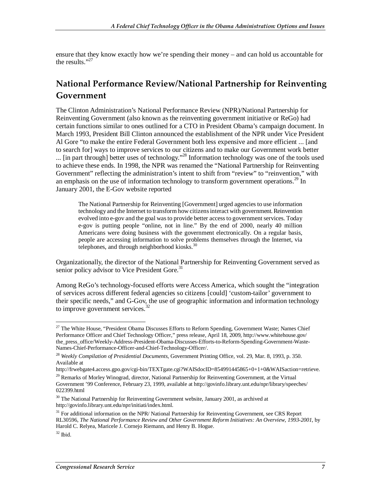ensure that they know exactly how we're spending their money – and can hold us accountable for the results." $27$ 

#### **National Performance Review/National Partnership for Reinventing Government**

The Clinton Administration's National Performance Review (NPR)/National Partnership for Reinventing Government (also known as the reinventing government initiative or ReGo) had certain functions similar to ones outlined for a CTO in President Obama's campaign document. In March 1993, President Bill Clinton announced the establishment of the NPR under Vice President Al Gore "to make the entire Federal Government both less expensive and more efficient ... [and to search for] ways to improve services to our citizens and to make our Government work better ... [in part through] better uses of technology."<sup>28</sup> Information technology was one of the tools used to achieve these ends. In 1998, the NPR was renamed the "National Partnership for Reinventing Government" reflecting the administration's intent to shift from "review" to "reinvention," with an emphasis on the use of information technology to transform government operations.<sup>29</sup> In January 2001, the E-Gov website reported

The National Partnership for Reinventing [Government] urged agencies to use information technology and the Internet to transform how citizens interact with government. Reinvention evolved into e-gov and the goal was to provide better access to government services. Today e-gov is putting people "online, not in line." By the end of 2000, nearly 40 million Americans were doing business with the government electronically. On a regular basis, people are accessing information to solve problems themselves through the Internet, via telephones, and through neighborhood kiosks.<sup>30</sup>

Organizationally, the director of the National Partnership for Reinventing Government served as senior policy advisor to Vice President Gore.<sup>31</sup>

Among ReGo's technology-focused efforts were Access America, which sought the "integration of services across different federal agencies so citizens [could] 'custom-tailor' government to their specific needs," and G-Gov, the use of geographic information and information technology to improve government services. $32$ 

<sup>-</sup><sup>27</sup> The White House, "President Obama Discusses Efforts to Reform Spending, Government Waste; Names Chief Performance Officer and Chief Technology Officer," press release, April 18, 2009, http://www.whitehouse.gov/ the\_press\_office/Weekly-Address-President-Obama-Discusses-Efforts-to-Reform-Spending-Government-Waste-Names-Chief-Performance-Officer-and-Chief-Technology-Officer/.

<sup>28</sup> *Weekly Compilation of Presidential Documents*, Government Printing Office, vol. 29, Mar. 8, 1993, p. 350. Available at

http://frwebgate4.access.gpo.gov/cgi-bin/TEXTgate.cgi?WAISdocID=854991445865+0+1+0&WAISaction=retrieve.

<sup>&</sup>lt;sup>29</sup> Remarks of Morley Winograd, director, National Partnership for Reinventing Government, at the Virtual Government '99 Conference, February 23, 1999, available at http://govinfo.library.unt.edu/npr/library/speeches/ 022399.html

<sup>&</sup>lt;sup>30</sup> The National Partnership for Reinventing Government website, January 2001, as archived at http://govinfo.library.unt.edu/npr/initiati/index.html.

<sup>&</sup>lt;sup>31</sup> For additional information on the NPR/ National Partnership for Reinventing Government, see CRS Report RL30596, *The National Performance Review and Other Government Reform Initiatives: An Overview, 1993-2001*, by Harold C. Relyea, Maricele J. Cornejo Riemann, and Henry B. Hogue.

 $32$  Ibid.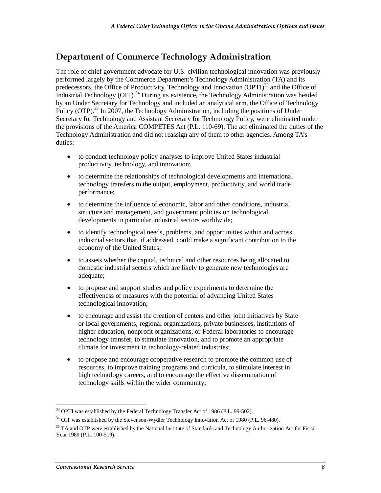#### **Department of Commerce Technology Administration**

The role of chief government advocate for U.S. civilian technological innovation was previously performed largely by the Commerce Department's Technology Administration (TA) and its predecessors, the Office of Productivity, Technology and Innovation  $(OPTI)<sup>33</sup>$  and the Office of Industrial Technology (OIT).<sup>34</sup> During its existence, the Technology Administration was headed by an Under Secretary for Technology and included an analytical arm, the Office of Technology Policy (OTP).<sup>35</sup> In 2007, the Technology Administration, including the positions of Under Secretary for Technology and Assistant Secretary for Technology Policy, were eliminated under the provisions of the America COMPETES Act (P.L. 110-69). The act eliminated the duties of the Technology Administration and did not reassign any of them to other agencies. Among TA's duties:

- to conduct technology policy analyses to improve United States industrial productivity, technology, and innovation;
- to determine the relationships of technological developments and international technology transfers to the output, employment, productivity, and world trade performance;
- to determine the influence of economic, labor and other conditions, industrial structure and management, and government policies on technological developments in particular industrial sectors worldwide;
- to identify technological needs, problems, and opportunities within and across industrial sectors that, if addressed, could make a significant contribution to the economy of the United States;
- to assess whether the capital, technical and other resources being allocated to domestic industrial sectors which are likely to generate new technologies are adequate;
- to propose and support studies and policy experiments to determine the effectiveness of measures with the potential of advancing United States technological innovation;
- to encourage and assist the creation of centers and other joint initiatives by State or local governments, regional organizations, private businesses, institutions of higher education, nonprofit organizations, or Federal laboratories to encourage technology transfer, to stimulate innovation, and to promote an appropriate climate for investment in technology-related industries;
- to propose and encourage cooperative research to promote the common use of resources, to improve training programs and curricula, to stimulate interest in high technology careers, and to encourage the effective dissemination of technology skills within the wider community;

<sup>-</sup><sup>33</sup> OPTI was established by the Federal Technology Transfer Act of 1986 (P.L. 99-502).

 $34$  OIT was established by the Stevenson-Wydler Technology Innovation Act of 1980 (P.L. 96-480).

<sup>&</sup>lt;sup>35</sup> TA and OTP were established by the National Institute of Standards and Technology Authorization Act for Fiscal Year 1989 (P.L. 100-519).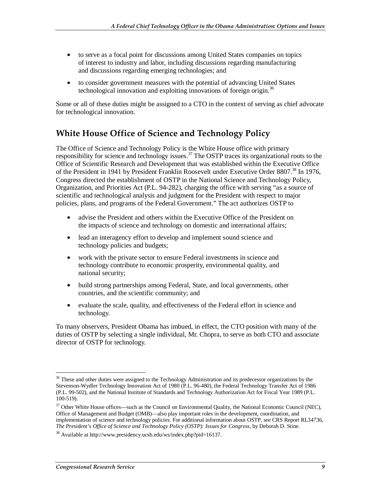- to serve as a focal point for discussions among United States companies on topics of interest to industry and labor, including discussions regarding manufacturing and discussions regarding emerging technologies; and
- to consider government measures with the potential of advancing United States technological innovation and exploiting innovations of foreign origin.<sup>36</sup>

Some or all of these duties might be assigned to a CTO in the context of serving as chief advocate for technological innovation.

#### **White House Office of Science and Technology Policy**

The Office of Science and Technology Policy is the White House office with primary responsibility for science and technology issues.<sup>37</sup> The OSTP traces its organizational roots to the Office of Scientific Research and Development that was established within the Executive Office of the President in 1941 by President Franklin Roosevelt under Executive Order 8807.<sup>38</sup> In 1976, Congress directed the establishment of OSTP in the National Science and Technology Policy, Organization, and Priorities Act (P.L. 94-282), charging the office with serving "as a source of scientific and technological analysis and judgment for the President with respect to major policies, plans, and programs of the Federal Government." The act authorizes OSTP to

- advise the President and others within the Executive Office of the President on the impacts of science and technology on domestic and international affairs;
- lead an interagency effort to develop and implement sound science and technology policies and budgets;
- work with the private sector to ensure Federal investments in science and technology contribute to economic prosperity, environmental quality, and national security;
- build strong partnerships among Federal, State, and local governments, other countries, and the scientific community; and
- evaluate the scale, quality, and effectiveness of the Federal effort in science and technology.

To many observers, President Obama has imbued, in effect, the CTO position with many of the duties of OSTP by selecting a single individual, Mr. Chopra, to serve as both CTO and associate director of OSTP for technology.

<sup>-</sup><sup>36</sup> These and other duties were assigned to the Technology Administration and its predecessor organizations by the Stevenson-Wydler Technology Innovation Act of 1980 (P.L. 96-480), the Federal Technology Transfer Act of 1986 (P.L. 99-502), and the National Institute of Standards and Technology Authorization Act for Fiscal Year 1989 (P.L. 100-519).

<sup>&</sup>lt;sup>37</sup> Other White House offices—such as the Council on Environmental Quality, the National Economic Council (NEC), Office of Management and Budget (OMB)—also play important roles in the development, coordination, and implementation of science and technology policies. For additional information about OSTP, see CRS Report RL34736, *The President's Office of Science and Technology Policy (OSTP): Issues for Congress*, by Deborah D. Stine.

<sup>38</sup> Available at http://www.presidency.ucsb.edu/ws/index.php?pid=16137.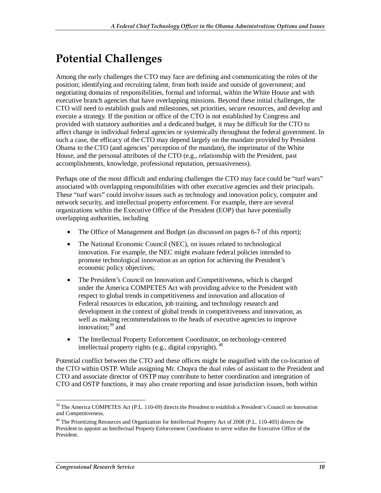# **Potential Challenges**

Among the early challenges the CTO may face are defining and communicating the roles of the position; identifying and recruiting talent, from both inside and outside of government; and negotiating domains of responsibilities, formal and informal, within the White House and with executive branch agencies that have overlapping missions. Beyond these initial challenges, the CTO will need to establish goals and milestones, set priorities, secure resources, and develop and execute a strategy. If the position or office of the CTO is not established by Congress and provided with statutory authorities and a dedicated budget, it may be difficult for the CTO to affect change in individual federal agencies or systemically throughout the federal government. In such a case, the efficacy of the CTO may depend largely on the mandate provided by President Obama to the CTO (and agencies' perception of the mandate), the imprimatur of the White House, and the personal attributes of the CTO (e.g., relationship with the President, past accomplishments, knowledge, professional reputation, persuasiveness).

Perhaps one of the most difficult and enduring challenges the CTO may face could be "turf wars" associated with overlapping responsibilities with other executive agencies and their principals. These "turf wars" could involve issues such as technology and innovation policy, computer and network security, and intellectual property enforcement. For example, there are several organizations within the Executive Office of the President (EOP) that have potentially overlapping authorities, including

- The Office of Management and Budget (as discussed on pages 6-7 of this report);
- The National Economic Council (NEC), on issues related to technological innovation. For example, the NEC might evaluate federal policies intended to promote technological innovation as an option for achieving the President's economic policy objectives;
- The President's Council on Innovation and Competitiveness, which is charged under the America COMPETES Act with providing advice to the President with respect to global trends in competitiveness and innovation and allocation of Federal resources in education, job training, and technology research and development in the context of global trends in competitiveness and innovation, as well as making recommendations to the heads of executive agencies to improve innovation: $39$  and
- The Intellectual Property Enforcement Coordinator, on technology-centered intellectual property rights (e.g., digital copyright).  $40$

Potential conflict between the CTO and these offices might be magnified with the co-location of the CTO within OSTP. While assigning Mr. Chopra the dual roles of assistant to the President and CTO and associate director of OSTP may contribute to better coordination and integration of CTO and OSTP functions, it may also create reporting and issue jurisdiction issues, both within

<sup>&</sup>lt;u>.</u>  $39$  The America COMPETES Act (P.L. 110-69) directs the President to establish a President's Council on Innovation and Competitiveness.

<sup>&</sup>lt;sup>40</sup> The Prioritizing Resources and Organization for Intellectual Property Act of 2008 (P.L. 110-403) directs the President to appoint an Intellectual Property Enforcement Coordinator to serve within the Executive Office of the President.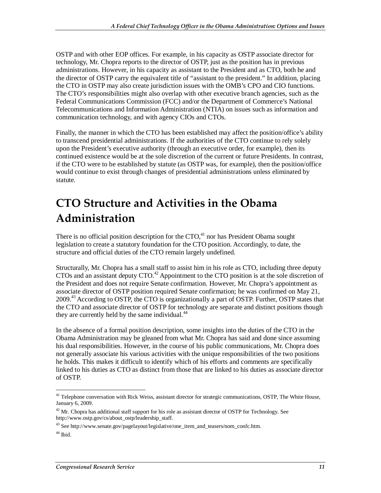OSTP and with other EOP offices. For example, in his capacity as OSTP associate director for technology, Mr. Chopra reports to the director of OSTP, just as the position has in previous administrations. However, in his capacity as assistant to the President and as CTO, both he and the director of OSTP carry the equivalent title of "assistant to the president." In addition, placing the CTO in OSTP may also create jurisdiction issues with the OMB's CPO and CIO functions. The CTO's responsibilities might also overlap with other executive branch agencies, such as the Federal Communications Commission (FCC) and/or the Department of Commerce's National Telecommunications and Information Administration (NTIA) on issues such as information and communication technology, and with agency CIOs and CTOs.

Finally, the manner in which the CTO has been established may affect the position/office's ability to transcend presidential administrations. If the authorities of the CTO continue to rely solely upon the President's executive authority (through an executive order, for example), then its continued existence would be at the sole discretion of the current or future Presidents. In contrast, if the CTO were to be established by statute (as OSTP was, for example), then the position/office would continue to exist through changes of presidential administrations unless eliminated by statute.

## **CTO Structure and Activities in the Obama Administration**

There is no official position description for the  $CTO<sub>1</sub><sup>41</sup>$  nor has President Obama sought legislation to create a statutory foundation for the CTO position. Accordingly, to date, the structure and official duties of the CTO remain largely undefined.

Structurally, Mr. Chopra has a small staff to assist him in his role as CTO, including three deputy CTOs and an assistant deputy CTO.<sup>42</sup> Appointment to the CTO position is at the sole discretion of the President and does not require Senate confirmation. However, Mr. Chopra's appointment as associate director of OSTP position required Senate confirmation; he was confirmed on May 21, 2009.43 According to OSTP, the CTO is organizationally a part of OSTP. Further, OSTP states that the CTO and associate director of OSTP for technology are separate and distinct positions though they are currently held by the same individual.<sup>44</sup>

In the absence of a formal position description, some insights into the duties of the CTO in the Obama Administration may be gleaned from what Mr. Chopra has said and done since assuming his dual responsibilities. However, in the course of his public communications, Mr. Chopra does not generally associate his various activities with the unique responsibilities of the two positions he holds. This makes it difficult to identify which of his efforts and comments are specifically linked to his duties as CTO as distinct from those that are linked to his duties as associate director of OSTP.

<sup>-</sup><sup>41</sup> Telephone conversation with Rick Weiss, assistant director for strategic communications, OSTP, The White House, January 6, 2009.

 $^{42}$  Mr. Chopra has additional staff support for his role as assistant director of OSTP for Technology. See http://www.ostp.gov/cs/about\_ostp/leadership\_staff.

<sup>&</sup>lt;sup>43</sup> See http://www.senate.gov/pagelayout/legislative/one\_item\_and\_teasers/nom\_confc.htm.

 $44$  Ibid.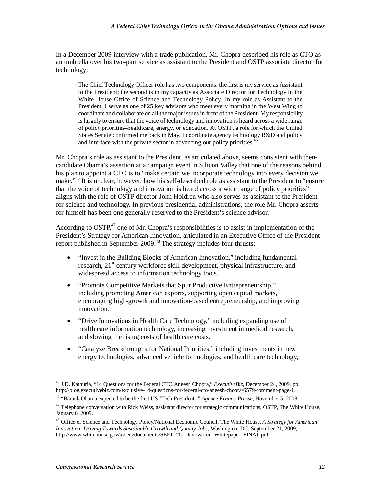In a December 2009 interview with a trade publication, Mr. Chopra described his role as CTO as an umbrella over his two-part service as assistant to the President and OSTP associate director for technology:

The Chief Technology Officer role has two components: the first is my service as Assistant to the President; the second is in my capacity as Associate Director for Technology in the White House Office of Science and Technology Policy. In my role as Assistant to the President, I serve as one of 25 key advisors who meet every morning in the West Wing to coordinate and collaborate on all the major issues in front of the President. My responsibility is largely to ensure that the voice of technology and innovation is heard across a wide range of policy priorities–healthcare, energy, or education. At OSTP, a role for which the United States Senate confirmed me back in May, I coordinate agency technology R&D and policy and interface with the private sector in advancing our policy priorities.<sup>4</sup>

Mr. Chopra's role as assistant to the President, as articulated above, seems consistent with thencandidate Obama's assertion at a campaign event in Silicon Valley that one of the reasons behind his plan to appoint a CTO is to "make certain we incorporate technology into every decision we make."<sup>46</sup> It is unclear, however, how his self-described role as assistant to the President to "ensure" that the voice of technology and innovation is heard across a wide range of policy priorities" aligns with the role of OSTP director John Holdren who also serves as assistant to the President for science and technology. In previous presidential administrations, the role Mr. Chopra asserts for himself has been one generally reserved to the President's science advisor.

According to  $OSTP<sub>1</sub><sup>47</sup>$  one of Mr. Chopra's responsibilities is to assist in implementation of the President's Strategy for American Innovation, articulated in an Executive Office of the President report published in September 2009.<sup>48</sup> The strategy includes four thrusts:

- "Invest in the Building Blocks of American Innovation," including fundamental research, 21<sup>st</sup> century workforce skill development, physical infrastructure, and widespread access to information technology tools.
- "Promote Competitive Markets that Spur Productive Entrepreneurship," including promoting American exports, supporting open capital markets, encouraging high-growth and innovation-based entrepreneurship, and improving innovation.
- "Drive Innovations in Health Care Technology," including expanding use of health care information technology, increasing investment in medical research, and slowing the rising costs of health care costs.
- "Catalyze Breakthroughs for National Priorities," including investments in new energy technologies, advanced vehicle technologies, and health care technology,

-

<sup>45</sup> J.D. Kathuria, "14 Questions for the Federal CTO Aneesh Chopra," *ExecutiveBiz*, December 24, 2009, pp. http://blog.executivebiz.com/exclusive-14-questions-for-federal-cto-aneesh-chopra/6579/comment-page-1.

<sup>46 &</sup>quot;Barack Obama expected to be the first US 'Tech President,'" *Agence France-Presse*, November 5, 2008.

<sup>&</sup>lt;sup>47</sup> Telephone conversation with Rick Weiss, assistant director for strategic communications, OSTP, The White House, January 6, 2009.

<sup>48</sup> Office of Science and Technology Policy/National Economic Council, The White House, *A Strategy for American Innovation: Driving Towards Sustainable Growth and Quality Jobs*, Washington, DC, September 21, 2009, http://www.whitehouse.gov/assets/documents/SEPT\_20\_\_Innovation\_Whitepaper\_FINAL.pdf.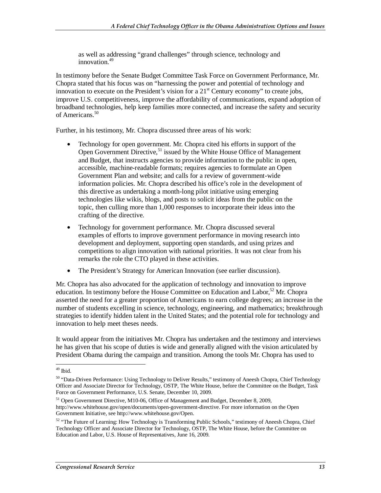as well as addressing "grand challenges" through science, technology and innovation.<sup>49</sup>

In testimony before the Senate Budget Committee Task Force on Government Performance, Mr. Chopra stated that his focus was on "harnessing the power and potential of technology and innovation to execute on the President's vision for a  $21<sup>st</sup>$  Century economy" to create jobs, improve U.S. competitiveness, improve the affordability of communications, expand adoption of broadband technologies, help keep families more connected, and increase the safety and security of Americans.<sup>50</sup>

Further, in his testimony, Mr. Chopra discussed three areas of his work:

- Technology for open government. Mr. Chopra cited his efforts in support of the Open Government Directive,<sup>51</sup> issued by the White House Office of Management and Budget, that instructs agencies to provide information to the public in open, accessible, machine-readable formats; requires agencies to formulate an Open Government Plan and website; and calls for a review of government-wide information policies. Mr. Chopra described his office's role in the development of this directive as undertaking a month-long pilot initiative using emerging technologies like wikis, blogs, and posts to solicit ideas from the public on the topic, then culling more than 1,000 responses to incorporate their ideas into the crafting of the directive.
- Technology for government performance. Mr. Chopra discussed several examples of efforts to improve government performance in moving research into development and deployment, supporting open standards, and using prizes and competitions to align innovation with national priorities. It was not clear from his remarks the role the CTO played in these activities.
- The President's Strategy for American Innovation (see earlier discussion).

Mr. Chopra has also advocated for the application of technology and innovation to improve education. In testimony before the House Committee on Education and Labor,<sup>52</sup> Mr. Chopra asserted the need for a greater proportion of Americans to earn college degrees; an increase in the number of students excelling in science, technology, engineering, and mathematics; breakthrough strategies to identify hidden talent in the United States; and the potential role for technology and innovation to help meet theses needs.

It would appear from the initiatives Mr. Chopra has undertaken and the testimony and interviews he has given that his scope of duties is wide and generally aligned with the vision articulated by President Obama during the campaign and transition. Among the tools Mr. Chopra has used to

<sup>-</sup> $49$  Ibid.

<sup>50 &</sup>quot;Data-Driven Performance: Using Technology to Deliver Results," testimony of Aneesh Chopra, Chief Technology Officer and Associate Director for Technology, OSTP, The White House, before the Committee on the Budget, Task Force on Government Performance, U.S. Senate, December 10, 2009.

<sup>51</sup> Open Government Directive, M10-06, Office of Management and Budget, December 8, 2009, http://www.whitehouse.gov/open/documents/open-government-directive. For more information on the Open Government Initiative, see http://www.whitehouse.gov/Open.

<sup>52 &</sup>quot;The Future of Learning: How Technology is Transforming Public Schools," testimony of Aneesh Chopra, Chief Technology Officer and Associate Director for Technology, OSTP, The White House, before the Committee on Education and Labor, U.S. House of Representatives, June 16, 2009.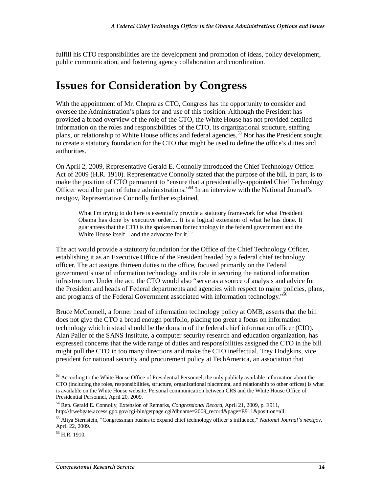fulfill his CTO responsibilities are the development and promotion of ideas, policy development, public communication, and fostering agency collaboration and coordination.

### **Issues for Consideration by Congress**

With the appointment of Mr. Chopra as CTO, Congress has the opportunity to consider and oversee the Administration's plans for and use of this position. Although the President has provided a broad overview of the role of the CTO, the White House has not provided detailed information on the roles and responsibilities of the CTO, its organizational structure, staffing plans, or relationship to White House offices and federal agencies.<sup>53</sup> Nor has the President sought to create a statutory foundation for the CTO that might be used to define the office's duties and authorities.

On April 2, 2009, Representative Gerald E. Connolly introduced the Chief Technology Officer Act of 2009 (H.R. 1910). Representative Connolly stated that the purpose of the bill, in part, is to make the position of CTO permanent to "ensure that a presidentially-appointed Chief Technology Officer would be part of future administrations."54 In an interview with the National Journal's nextgov, Representative Connolly further explained,

What I'm trying to do here is essentially provide a statutory framework for what President Obama has done by executive order.... It is a logical extension of what he has done. It guarantees that the CTO is the spokesman for technology in the federal government and the White House itself—and the advocate for it.<sup>55</sup>

The act would provide a statutory foundation for the Office of the Chief Technology Officer, establishing it as an Executive Office of the President headed by a federal chief technology officer. The act assigns thirteen duties to the office, focused primarily on the Federal government's use of information technology and its role in securing the national information infrastructure. Under the act, the CTO would also "serve as a source of analysis and advice for the President and heads of Federal departments and agencies with respect to major policies, plans, and programs of the Federal Government associated with information technology."<sup>56</sup>

Bruce McConnell, a former head of information technology policy at OMB, asserts that the bill does not give the CTO a broad enough portfolio, placing too great a focus on information technology which instead should be the domain of the federal chief information officer (CIO). Alan Paller of the SANS Institute, a computer security research and education organization, has expressed concerns that the wide range of duties and responsibilities assigned the CTO in the bill might pull the CTO in too many directions and make the CTO ineffectual. Trey Hodgkins, vice president for national security and procurement policy at TechAmerica, an association that

-

<sup>&</sup>lt;sup>53</sup> According to the White House Office of Presidential Personnel, the only publicly available information about the CTO (including the roles, responsibilities, structure, organizational placement, and relationship to other offices) is what is available on the White House website. Personal communication between CRS and the White House Office of Presidential Personnel, April 20, 2009.

<sup>54</sup> Rep. Gerald E. Connolly, Extension of Remarks, *Congressional Record*, April 21, 2009, p. E911, http://frwebgate.access.gpo.gov/cgi-bin/getpage.cgi?dbname=2009\_record&page=E911&position=all.

<sup>55</sup> Aliya Sternstein, "Congressman pushes to expand chief technology officer's influence," *National Journal's nextgov*, April 22, 2009.

 $56$  H.R. 1910.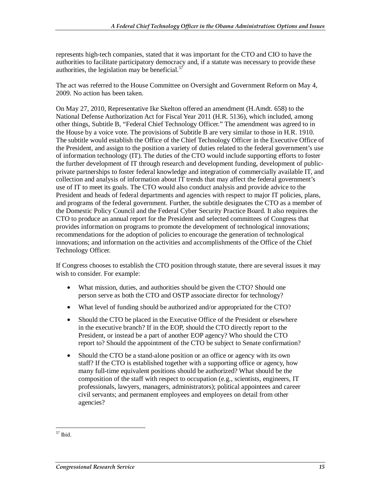represents high-tech companies, stated that it was important for the CTO and CIO to have the authorities to facilitate participatory democracy and, if a statute was necessary to provide these authorities, the legislation may be beneficial. $57$ 

The act was referred to the House Committee on Oversight and Government Reform on May 4, 2009. No action has been taken.

On May 27, 2010, Representative Ike Skelton offered an amendment (H.Amdt. 658) to the National Defense Authorization Act for Fiscal Year 2011 (H.R. 5136), which included, among other things, Subtitle B, "Federal Chief Technology Officer." The amendment was agreed to in the House by a voice vote. The provisions of Subtitle B are very similar to those in H.R. 1910. The subtitle would establish the Office of the Chief Technology Officer in the Executive Office of the President, and assign to the position a variety of duties related to the federal government's use of information technology (IT). The duties of the CTO would include supporting efforts to foster the further development of IT through research and development funding, development of publicprivate partnerships to foster federal knowledge and integration of commercially available IT, and collection and analysis of information about IT trends that may affect the federal government's use of IT to meet its goals. The CTO would also conduct analysis and provide advice to the President and heads of federal departments and agencies with respect to major IT policies, plans, and programs of the federal government. Further, the subtitle designates the CTO as a member of the Domestic Policy Council and the Federal Cyber Security Practice Board. It also requires the CTO to produce an annual report for the President and selected committees of Congress that provides information on programs to promote the development of technological innovations; recommendations for the adoption of policies to encourage the generation of technological innovations; and information on the activities and accomplishments of the Office of the Chief Technology Officer.

If Congress chooses to establish the CTO position through statute, there are several issues it may wish to consider. For example:

- What mission, duties, and authorities should be given the CTO? Should one person serve as both the CTO and OSTP associate director for technology?
- What level of funding should be authorized and/or appropriated for the CTO?
- Should the CTO be placed in the Executive Office of the President or elsewhere in the executive branch? If in the EOP, should the CTO directly report to the President, or instead be a part of another EOP agency? Who should the CTO report to? Should the appointment of the CTO be subject to Senate confirmation?
- Should the CTO be a stand-alone position or an office or agency with its own staff? If the CTO is established together with a supporting office or agency, how many full-time equivalent positions should be authorized? What should be the composition of the staff with respect to occupation (e.g., scientists, engineers, IT professionals, lawyers, managers, administrators); political appointees and career civil servants; and permanent employees and employees on detail from other agencies?

<sup>-</sup>57 Ibid.